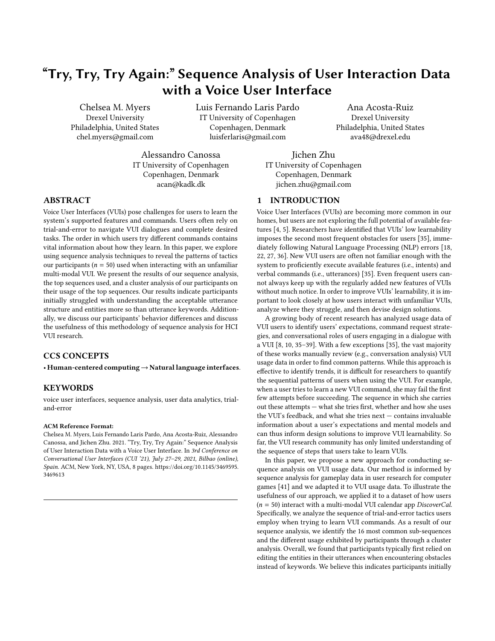# "Try, Try, Try Again:" Sequence Analysis of User Interaction Data with a Voice User Interface

Chelsea M. Myers Drexel University Philadelphia, United States chel.myers@gmail.com

Luis Fernando Laris Pardo IT University of Copenhagen Copenhagen, Denmark luisferlaris@gmail.com

Alessandro Canossa IT University of Copenhagen Copenhagen, Denmark acan@kadk.dk

Ana Acosta-Ruiz Drexel University Philadelphia, United States ava48@drexel.edu

Jichen Zhu IT University of Copenhagen Copenhagen, Denmark jichen.zhu@gmail.com

# 1 INTRODUCTION

Voice User Interfaces (VUIs) are becoming more common in our homes, but users are not exploring the full potential of available features [\[4,](#page-6-0) [5\]](#page-6-1). Researchers have identified that VUIs' low learnability imposes the second most frequent obstacles for users [\[35\]](#page-7-1), immediately following Natural Language Processing (NLP) errors [\[18,](#page-7-2) [22,](#page-7-3) [27,](#page-7-4) [36\]](#page-7-5). New VUI users are often not familiar enough with the system to proficiently execute available features (i.e., intents) and verbal commands (i.e., utterances) [\[35\]](#page-7-1). Even frequent users cannot always keep up with the regularly added new features of VUIs without much notice. In order to improve VUIs' learnability, it is important to look closely at how users interact with unfamiliar VUIs, analyze where they struggle, and then devise design solutions.

A growing body of recent research has analyzed usage data of VUI users to identify users' expectations, command request strategies, and conversational roles of users engaging in a dialogue with a VUI [\[8,](#page-6-2) [10,](#page-6-3) [35](#page-7-1)[–39\]](#page-7-6). With a few exceptions [\[35\]](#page-7-1), the vast majority of these works manually review (e.g., conversation analysis) VUI usage data in order to find common patterns. While this approach is effective to identify trends, it is difficult for researchers to quantify the sequential patterns of users when using the VUI. For example, when a user tries to learn a new VUI command, she may fail the first few attempts before succeeding. The sequence in which she carries out these attempts — what she tries first, whether and how she uses the VUI's feedback, and what she tries next — contains invaluable information about a user's expectations and mental models and can thus inform design solutions to improve VUI learnability. So far, the VUI research community has only limited understanding of the sequence of steps that users take to learn VUIs.

In this paper, we propose a new approach for conducting sequence analysis on VUI usage data. Our method is informed by sequence analysis for gameplay data in user research for computer games [\[41\]](#page-7-7) and we adapted it to VUI usage data. To illustrate the usefulness of our approach, we applied it to a dataset of how users  $(n = 50)$  interact with a multi-modal VUI calendar app *DiscoverCal*. Specifically, we analyze the sequence of trial-and-error tactics users employ when trying to learn VUI commands. As a result of our sequence analysis, we identify the 16 most common sub-sequences and the different usage exhibited by participants through a cluster analysis. Overall, we found that participants typically first relied on editing the entities in their utterances when encountering obstacles instead of keywords. We believe this indicates participants initially

# ABSTRACT

Voice User Interfaces (VUIs) pose challenges for users to learn the system's supported features and commands. Users often rely on trial-and-error to navigate VUI dialogues and complete desired tasks. The order in which users try different commands contains vital information about how they learn. In this paper, we explore using sequence analysis techniques to reveal the patterns of tactics our participants ( $n = 50$ ) used when interacting with an unfamiliar multi-modal VUI. We present the results of our sequence analysis, the top sequences used, and a cluster analysis of our participants on their usage of the top sequences. Our results indicate participants initially struggled with understanding the acceptable utterance structure and entities more so than utterance keywords. Additionally, we discuss our participants' behavior differences and discuss the usefulness of this methodology of sequence analysis for HCI VUI research.

# CCS CONCEPTS

• Human-centered computing→Natural language interfaces.

# KEYWORDS

voice user interfaces, sequence analysis, user data analytics, trialand-error

#### ACM Reference Format:

Chelsea M. Myers, Luis Fernando Laris Pardo, Ana Acosta-Ruiz, Alessandro Canossa, and Jichen Zhu. 2021. "Try, Try, Try Again:" Sequence Analysis of User Interaction Data with a Voice User Interface. In 3rd Conference on Conversational User Interfaces (CUI '21), July 27–29, 2021, Bilbao (online), Spain. ACM, New York, NY, USA, [8](#page-7-0) pages. [https://doi.org/10.1145/3469595.](https://doi.org/10.1145/3469595.3469613) [3469613](https://doi.org/10.1145/3469595.3469613)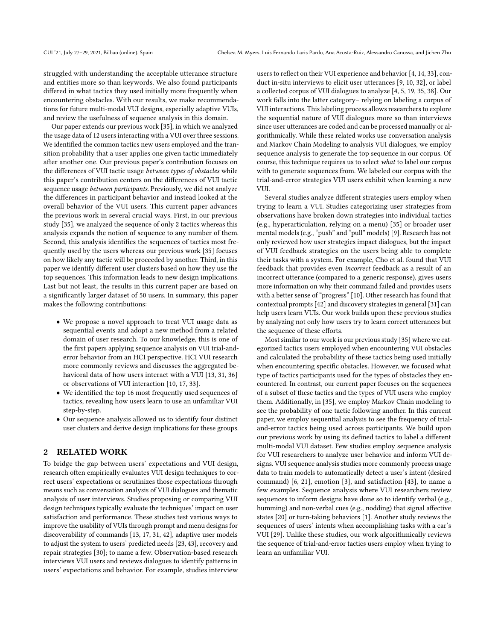struggled with understanding the acceptable utterance structure and entities more so than keywords. We also found participants differed in what tactics they used initially more frequently when encountering obstacles. With our results, we make recommendations for future multi-modal VUI designs, especially adaptive VUIs, and review the usefulness of sequence analysis in this domain.

Our paper extends our previous work [\[35\]](#page-7-1), in which we analyzed the usage data of 12 users interacting with a VUI over three sessions. We identified the common tactics new users employed and the transition probability that a user applies one given tactic immediately after another one. Our previous paper's contribution focuses on the differences of VUI tactic usage between types of obstacles while this paper's contribution centers on the differences of VUI tactic sequence usage between participants. Previously, we did not analyze the differences in participant behavior and instead looked at the overall behavior of the VUI users. This current paper advances the previous work in several crucial ways. First, in our previous study [\[35\]](#page-7-1), we analyzed the sequence of only 2 tactics whereas this analysis expands the notion of sequence to any number of them. Second, this analysis identifies the sequences of tactics most frequently used by the users whereas our previous work [\[35\]](#page-7-1) focuses on how likely any tactic will be proceeded by another. Third, in this paper we identify different user clusters based on how they use the top sequences. This information leads to new design implications. Last but not least, the results in this current paper are based on a significantly larger dataset of 50 users. In summary, this paper makes the following contributions:

- We propose a novel approach to treat VUI usage data as sequential events and adopt a new method from a related domain of user research. To our knowledge, this is one of the first papers applying sequence analysis on VUI trial-anderror behavior from an HCI perspective. HCI VUI research more commonly reviews and discusses the aggregated behavioral data of how users interact with a VUI [\[13,](#page-6-4) [31,](#page-7-8) [36\]](#page-7-5) or observations of VUI interaction [\[10,](#page-6-3) [17,](#page-7-9) [33\]](#page-7-10).
- We identified the top 16 most frequently used sequences of tactics, revealing how users learn to use an unfamiliar VUI step-by-step.
- Our sequence analysis allowed us to identify four distinct user clusters and derive design implications for these groups.

# 2 RELATED WORK

To bridge the gap between users' expectations and VUI design, research often empirically evaluates VUI design techniques to correct users' expectations or scrutinizes those expectations through means such as conversation analysis of VUI dialogues and thematic analysis of user interviews. Studies proposing or comparing VUI design techniques typically evaluate the techniques' impact on user satisfaction and performance. These studies test various ways to improve the usability of VUIs through prompt and menu designs for discoverability of commands [\[13,](#page-6-4) [17,](#page-7-9) [31,](#page-7-8) [42\]](#page-7-11), adaptive user models to adjust the system to users' predicted needs [\[23,](#page-7-12) [43\]](#page-7-13), recovery and repair strategies [\[30\]](#page-7-14); to name a few. Observation-based research interviews VUI users and reviews dialogues to identify patterns in users' expectations and behavior. For example, studies interview

users to reflect on their VUI experience and behavior [\[4,](#page-6-0) [14,](#page-7-15) [33\]](#page-7-10), conduct in-situ interviews to elicit user utterances [\[9,](#page-6-5) [10,](#page-6-3) [32\]](#page-7-16), or label a collected corpus of VUI dialogues to analyze [\[4,](#page-6-0) [5,](#page-6-1) [19,](#page-7-17) [35,](#page-7-1) [38\]](#page-7-18). Our work falls into the latter category– relying on labeling a corpus of VUI interactions. This labeling process allows researchers to explore the sequential nature of VUI dialogues more so than interviews since user utterances are coded and can be processed manually or algorithmically. While these related works use conversation analysis and Markov Chain Modeling to analysis VUI dialogues, we employ sequence analysis to generate the top sequence in our corpus. Of course, this technique requires us to select what to label our corpus with to generate sequences from. We labeled our corpus with the trial-and-error strategies VUI users exhibit when learning a new VUL.

Several studies analyze different strategies users employ when trying to learn a VUI. Studies categorizing user strategies from observations have broken down strategies into individual tactics (e.g., hyperarticulation, relying on a menu) [\[35\]](#page-7-1) or broader user mental models (e.g., "push" and "pull" models) [\[9\]](#page-6-5). Research has not only reviewed how user strategies impact dialogues, but the impact of VUI feedback strategies on the users being able to complete their tasks with a system. For example, Cho et al. found that VUI feedback that provides even incorrect feedback as a result of an incorrect utterance (compared to a generic response), gives users more information on why their command failed and provides users with a better sense of "progress" [\[10\]](#page-6-3). Other research has found that contextual prompts [\[42\]](#page-7-11) and discovery strategies in general [\[31\]](#page-7-8) can help users learn VUIs. Our work builds upon these previous studies by analyzing not only how users try to learn correct utterances but the sequence of these efforts.

Most similar to our work is our previous study [\[35\]](#page-7-1) where we categorized tactics users employed when encountering VUI obstacles and calculated the probability of these tactics being used initially when encountering specific obstacles. However, we focused what type of tactics participants used for the types of obstacles they encountered. In contrast, our current paper focuses on the sequences of a subset of these tactics and the types of VUI users who employ them. Additionally, in [\[35\]](#page-7-1), we employ Markov Chain modeling to see the probability of one tactic following another. In this current paper, we employ sequential analysis to see the frequency of trialand-error tactics being used across participants. We build upon our previous work by using its defined tactics to label a different multi-modal VUI dataset. Few studies employ sequence analysis for VUI researchers to analyze user behavior and inform VUI designs. VUI sequence analysis studies more commonly process usage data to train models to automatically detect a user's intent (desired command) [\[6,](#page-6-6) [21\]](#page-7-19), emotion [\[3\]](#page-6-7), and satisfaction [\[43\]](#page-7-13), to name a few examples. Sequence analysis where VUI researchers review sequences to inform designs have done so to identify verbal (e.g., humming) and non-verbal cues (e.g., nodding) that signal affective states [\[20\]](#page-7-20) or turn-taking behaviors [\[1\]](#page-6-8). Another study reviews the sequences of users' intents when accomplishing tasks with a car's VUI [\[29\]](#page-7-21). Unlike these studies, our work algorithmically reviews the sequence of trial-and-error tactics users employ when trying to learn an unfamiliar VUI.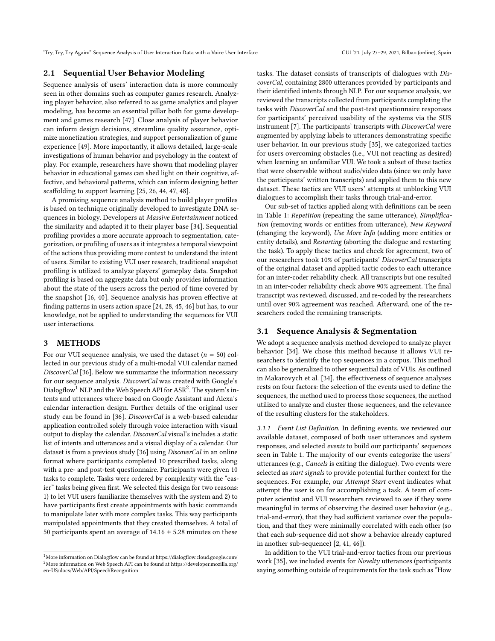# 2.1 Sequential User Behavior Modeling

Sequence analysis of users' interaction data is more commonly seen in other domains such as computer games research. Analyzing player behavior, also referred to as game analytics and player modeling, has become an essential pillar both for game development and games research [\[47\]](#page-7-22). Close analysis of player behavior can inform design decisions, streamline quality assurance, optimize monetization strategies, and support personalization of game experience [\[49\]](#page-7-23). More importantly, it allows detailed, large-scale investigations of human behavior and psychology in the context of play. For example, researchers have shown that modeling player behavior in educational games can shed light on their cognitive, affective, and behavioral patterns, which can inform designing better scaffolding to support learning [\[25,](#page-7-24) [26,](#page-7-25) [44,](#page-7-26) [47,](#page-7-22) [48\]](#page-7-27).

A promising sequence analysis method to build player profiles is based on technique originally developed to investigate DNA sequences in biology. Developers at Massive Entertainment noticed the similarity and adapted it to their player base [\[34\]](#page-7-28). Sequential profiling provides a more accurate approach to segmentation, categorization, or profiling of users as it integrates a temporal viewpoint of the actions thus providing more context to understand the intent of users. Similar to existing VUI user research, traditional snapshot profiling is utilized to analyze players' gameplay data. Snapshot profiling is based on aggregate data but only provides information about the state of the users across the period of time covered by the snapshot [\[16,](#page-7-29) [40\]](#page-7-30). Sequence analysis has proven effective at finding patterns in users action space [\[24,](#page-7-31) [28,](#page-7-32) [45,](#page-7-33) [46\]](#page-7-34) but has, to our knowledge, not be applied to understanding the sequences for VUI user interactions.

## 3 METHODS

For our VUI sequence analysis, we used the dataset  $(n = 50)$  collected in our previous study of a multi-modal VUI calendar named DiscoverCal [\[36\]](#page-7-5). Below we summarize the information necessary for our sequence analysis. DiscoverCal was created with Google's Dialogflow  $^1$  $^1$  NLP and the Web Speech API for ASR $^2$  $^2$ . The system's intents and utterances where based on Google Assistant and Alexa's calendar interaction design. Further details of the original user study can be found in [\[36\]](#page-7-5). DiscoverCal is a web-based calendar application controlled solely through voice interaction with visual output to display the calendar. DiscoverCal visual's includes a static list of intents and utterances and a visual display of a calendar. Our dataset is from a previous study [\[36\]](#page-7-5) using DiscoverCal in an online format where participants completed 10 prescribed tasks, along with a pre- and post-test questionnaire. Participants were given 10 tasks to complete. Tasks were ordered by complexity with the "easier" tasks being given first. We selected this design for two reasons: 1) to let VUI users familiarize themselves with the system and 2) to have participants first create appointments with basic commands to manipulate later with more complex tasks. This way participants manipulated appointments that they created themselves. A total of 50 participants spent an average of  $14.16 \pm 5.28$  minutes on these

tasks. The dataset consists of transcripts of dialogues with DiscoverCal, containing 2800 utterances provided by participants and their identified intents through NLP. For our sequence analysis, we reviewed the transcripts collected from participants completing the tasks with DiscoverCal and the post-test questionnaire responses for participants' perceived usability of the systems via the SUS instrument [\[7\]](#page-6-9). The participants' transcripts with DiscoverCal were augmented by applying labels to utterances demonstrating specific user behavior. In our previous study [\[35\]](#page-7-1), we categorized tactics for users overcoming obstacles (i.e., VUI not reacting as desired) when learning an unfamiliar VUI. We took a subset of these tactics that were observable without audio/video data (since we only have the participants' written transcripts) and applied them to this new dataset. These tactics are VUI users' attempts at unblocking VUI dialogues to accomplish their tasks through trial-and-error.

Our sub-set of tactics applied along with definitions can be seen in Table [1:](#page-3-0) Repetition (repeating the same utterance), Simplification (removing words or entities from utterance), New Keyword (changing the keyword), Use More Info (adding more entities or entity details), and Restarting (aborting the dialogue and restarting the task). To apply these tactics and check for agreement, two of our researchers took 10% of participants' DiscoverCal transcripts of the original dataset and applied tactic codes to each utterance for an inter-coder reliability check. All transcripts but one resulted in an inter-coder reliability check above 90% agreement. The final transcript was reviewed, discussed, and re-coded by the researchers until over 90% agreement was reached. Afterward, one of the researchers coded the remaining transcripts.

#### 3.1 Sequence Analysis & Segmentation

We adopt a sequence analysis method developed to analyze player behavior [\[34\]](#page-7-28). We chose this method because it allows VUI researchers to identify the top sequences in a corpus. This method can also be generalized to other sequential data of VUIs. As outlined in Makarovych et al. [\[34\]](#page-7-28), the effectiveness of sequence analyses rests on four factors: the selection of the events used to define the sequences, the method used to process those sequences, the method utilized to analyze and cluster those sequences, and the relevance of the resulting clusters for the stakeholders.

3.1.1 Event List Definition. In defining events, we reviewed our available dataset, composed of both user utterances and system responses, and selected events to build our participants' sequences seen in Table [1.](#page-3-0) The majority of our events categorize the users' utterances (e.g., Cancels is exiting the dialogue). Two events were selected as start signals to provide potential further context for the sequences. For example, our Attempt Start event indicates what attempt the user is on for accomplishing a task. A team of computer scientist and VUI researchers reviewed to see if they were meaningful in terms of observing the desired user behavior (e.g., trial-and-error), that they had sufficient variance over the population, and that they were minimally correlated with each other (so that each sub-sequence did not show a behavior already captured in another sub-sequence) [\[2,](#page-6-10) [41,](#page-7-7) [46\]](#page-7-34)).

In addition to the VUI trial-and-error tactics from our previous work [\[35\]](#page-7-1), we included events for Novelty utterances (participants saying something outside of requirements for the task such as "How

<span id="page-2-1"></span><span id="page-2-0"></span> $^1$  More information on Dialogflow can be found at<https://dialogflow.cloud.google.com/>  $^1$  $2$ More information on Web Speech API can be found at [https://developer.mozilla.org/](https://developer.mozilla.org/en-US/docs/Web/API/SpeechRecognition) [en-US/docs/Web/API/SpeechRecognition](https://developer.mozilla.org/en-US/docs/Web/API/SpeechRecognition)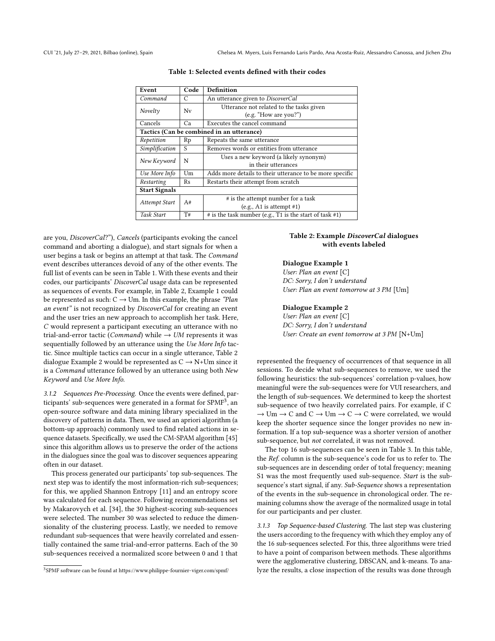<span id="page-3-0"></span>

| Event                                     | Code | <b>Definition</b>                                            |  |  |  |  |
|-------------------------------------------|------|--------------------------------------------------------------|--|--|--|--|
| Command                                   | C    | An utterance given to DiscoverCal                            |  |  |  |  |
| Novelty                                   | Nv   | Utterance not related to the tasks given                     |  |  |  |  |
|                                           |      | (e.g. "How are you?")                                        |  |  |  |  |
| Cancels                                   | Ca   | Executes the cancel command                                  |  |  |  |  |
| Tactics (Can be combined in an utterance) |      |                                                              |  |  |  |  |
| Repetition                                | Rp   | Repeats the same utterance                                   |  |  |  |  |
| Simplification                            | S    | Removes words or entities from utterance                     |  |  |  |  |
| New Keyword                               | N    | Uses a new keyword (a likely synonym)                        |  |  |  |  |
|                                           |      | in their utterances                                          |  |  |  |  |
| Use More Info                             | Um   | Adds more details to their utterance to be more specific     |  |  |  |  |
| Restarting                                | Rs   | Restarts their attempt from scratch                          |  |  |  |  |
| <b>Start Signals</b>                      |      |                                                              |  |  |  |  |
| Attempt Start                             | A#   | # is the attempt number for a task                           |  |  |  |  |
|                                           |      | (e.g., A1 is attempt #1)                                     |  |  |  |  |
| Task Start                                | T#   | $#$ is the task number (e.g., T1 is the start of task $#1$ ) |  |  |  |  |

Table 1: Selected events defined with their codes

are you, DiscoverCal?"), Cancels (participants evoking the cancel command and aborting a dialogue), and start signals for when a user begins a task or begins an attempt at that task. The Command event describes utterances devoid of any of the other events. The full list of events can be seen in Table [1.](#page-3-0) With these events and their codes, our participants' DiscoverCal usage data can be represented as sequences of events. For example, in Table [2,](#page-3-1) Example 1 could be represented as such:  $C \rightarrow Um$ . In this example, the phrase "Plan an event" is not recognized by DiscoverCal for creating an event and the user tries an new approach to accomplish her task. Here, C would represent a participant executing an utterance with no trial-and-error tactic (*Command*) while  $\rightarrow$  *UM* represents it was sequentially followed by an utterance using the Use More Info tactic. Since multiple tactics can occur in a single utterance, Table [2](#page-3-1) dialogue Example 2 would be represented as  $C \rightarrow N+Um$  since it is a Command utterance followed by an utterance using both New Keyword and Use More Info.

3.1.2 Sequences Pre-Processing. Once the events were defined, participants' sub-sequences were generated in a format for SPMF $^3$  $^3$ , an open-source software and data mining library specialized in the discovery of patterns in data. Then, we used an apriori algorithm (a bottom-up approach) commonly used to find related actions in sequence datasets. Specifically, we used the CM-SPAM algorithm [\[45\]](#page-7-33) since this algorithm allows us to preserve the order of the actions in the dialogues since the goal was to discover sequences appearing often in our dataset.

This process generated our participants' top sub-sequences. The next step was to identify the most information-rich sub-sequences; for this, we applied Shannon Entropy [\[11\]](#page-6-11) and an entropy score was calculated for each sequence. Following recommendations set by Makarovych et al. [\[34\]](#page-7-28), the 30 highest-scoring sub-sequences were selected. The number 30 was selected to reduce the dimensionality of the clustering process. Lastly, we needed to remove redundant sub-sequences that were heavily correlated and essentially contained the same trial-and-error patterns. Each of the 30 sub-sequences received a normalized score between 0 and 1 that

# <span id="page-3-1"></span>Table 2: Example DiscoverCal dialogues with events labeled

# Dialogue Example 1

User: Plan an event [C] DC: Sorry, I don't understand User: Plan an event tomorrow at 3 PM [Um]

#### Dialogue Example 2

User: Plan an event [C] DC: Sorry, I don't understand User: Create an event tomorrow at 3 PM [N+Um]

represented the frequency of occurrences of that sequence in all sessions. To decide what sub-sequences to remove, we used the following heuristics: the sub-sequences' correlation p-values, how meaningful were the sub-sequences were for VUI researchers, and the length of sub-sequences. We determined to keep the shortest sub-sequence of two heavily correlated pairs. For example, if C  $\rightarrow$  Um  $\rightarrow$  C and C  $\rightarrow$  Um  $\rightarrow$  C  $\rightarrow$  C were correlated, we would keep the shorter sequence since the longer provides no new information. If a top sub-sequence was a shorter version of another sub-sequence, but not correlated, it was not removed.

The top 16 sub-sequences can be seen in Table [3.](#page-4-0) In this table, the Ref. column is the sub-sequence's code for us to refer to. The sub-sequences are in descending order of total frequency; meaning S1 was the most frequently used sub-sequence. Start is the subsequence's start signal, if any. Sub-Sequence shows a representation of the events in the sub-sequence in chronological order. The remaining columns show the average of the normalized usage in total for our participants and per cluster.

3.1.3 Top Sequence-based Clustering. The last step was clustering the users according to the frequency with which they employ any of the 16 sub-sequences selected. For this, three algorithms were tried to have a point of comparison between methods. These algorithms were the agglomerative clustering, DBSCAN, and k-means. To analyze the results, a close inspection of the results was done through

<span id="page-3-2"></span> ${}^{3}\rm{SPMF}$  software can be found at<https://www.philippe-fournier-viger.com/spmf/>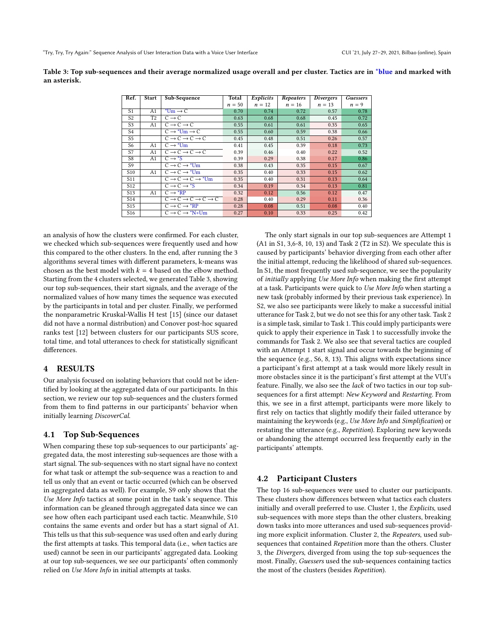<span id="page-4-0"></span>Table 3: Top sub-sequences and their average normalized usage overall and per cluster. Tactics are in \*blue and marked with an asterisk.

| Ref.            | Start          | Sub-Sequence                                    | Total    | Explicits | Repeaters | Divergers | Guessers |
|-----------------|----------------|-------------------------------------------------|----------|-----------|-----------|-----------|----------|
|                 |                |                                                 | $n = 50$ | $n = 12$  | $n = 16$  | $n = 13$  | $n = 9$  |
| S <sub>1</sub>  | A1             | $*$ Um $\rightarrow$ C                          | 0.70     | 0.74      | 0.72      | 0.57      | 0.78     |
| S <sub>2</sub>  | T <sub>2</sub> | $C \rightarrow C$                               | 0.63     | 0.68      | 0.68      | 0.45      | 0.72     |
| S <sub>3</sub>  | A1             | $C \rightarrow C \rightarrow C$                 | 0.55     | 0.61      | 0.61      | 0.35      | 0.65     |
| S <sub>4</sub>  |                | $C \rightarrow *Um \rightarrow C$               | 0.55     | 0.60      | 0.59      | 0.38      | 0.66     |
| S <sub>5</sub>  |                | $C \rightarrow C \rightarrow C \rightarrow C$   | 0.45     | 0.48      | 0.51      | 0.26      | 0.57     |
| S6              | A1             | $C \rightarrow {}^*Um$                          | 0.41     | 0.45      | 0.39      | 0.18      | 0.73     |
| S7              | A <sub>1</sub> | $C \rightarrow C \rightarrow C \rightarrow C$   | 0.39     | 0.46      | 0.40      | 0.22      | 0.52     |
| S8              | A <sub>1</sub> | $C \rightarrow \text{S}$                        | 0.39     | 0.29      | 0.38      | 0.17      | 0.86     |
| S9              |                | $C \rightarrow C \rightarrow *Um$               | 0.38     | 0.43      | 0.35      | 0.15      | 0.67     |
| S <sub>10</sub> | A <sub>1</sub> | $C \rightarrow C \rightarrow *Um$               | 0.35     | 0.40      | 0.33      | 0.15      | 0.62     |
| S <sub>11</sub> |                | $C \rightarrow C \rightarrow C \rightarrow$ *Um | 0.35     | 0.40      | 0.31      | 0.13      | 0.64     |
| S <sub>12</sub> |                | $C \rightarrow C \rightarrow \sim^*S$           | 0.34     | 0.19      | 0.34      | 0.13      | 0.81     |
| S <sub>13</sub> | A1             | $C \rightarrow \star RP$                        | 0.32     | 0.12      | 0.56      | 0.12      | 0.47     |
| S <sub>14</sub> |                | $C \to C \to C \to C \to C$                     | 0.28     | 0.40      | 0.29      | 0.11      | 0.36     |
| S15             |                | $C \rightarrow C \rightarrow \text{*RP}$        | 0.28     | 0.08      | 0.51      | 0.08      | 0.40     |
| S <sub>16</sub> |                | $\overline{C \rightarrow C \rightarrow Y}$ N+Um | 0.27     | 0.10      | 0.33      | 0.25      | 0.42     |

an analysis of how the clusters were confirmed. For each cluster, we checked which sub-sequences were frequently used and how this compared to the other clusters. In the end, after running the 3 algorithms several times with different parameters, k-means was chosen as the best model with  $k = 4$  based on the elbow method. Starting from the 4 clusters selected, we generated Table [3,](#page-4-0) showing our top sub-sequences, their start signals, and the average of the normalized values of how many times the sequence was executed by the participants in total and per cluster. Finally, we performed the nonparametric Kruskal-Wallis H test [\[15\]](#page-7-35) (since our dataset did not have a normal distribution) and Conover post-hoc squared ranks test [\[12\]](#page-6-12) between clusters for our participants SUS score, total time, and total utterances to check for statistically significant differences.

# 4 RESULTS

Our analysis focused on isolating behaviors that could not be identified by looking at the aggregated data of our participants. In this section, we review our top sub-sequences and the clusters formed from them to find patterns in our participants' behavior when initially learning DiscoverCal.

#### 4.1 Top Sub-Sequences

When comparing these top sub-sequences to our participants' aggregated data, the most interesting sub-sequences are those with a start signal. The sub-sequences with no start signal have no context for what task or attempt the sub-sequence was a reaction to and tell us only that an event or tactic occurred (which can be observed in aggregated data as well). For example, S9 only shows that the Use More Info tactics at some point in the task's sequence. This information can be gleaned through aggregated data since we can see how often each participant used each tactic. Meanwhile, S10 contains the same events and order but has a start signal of A1. This tells us that this sub-sequence was used often and early during the first attempts at tasks. This temporal data (i.e., when tactics are used) cannot be seen in our participants' aggregated data. Looking at our top sub-sequences, we see our participants' often commonly relied on Use More Info in initial attempts at tasks.

The only start signals in our top sub-sequences are Attempt 1 (A1 in S1, 3,6-8, 10, 13) and Task 2 (T2 in S2). We speculate this is caused by participants' behavior diverging from each other after the initial attempt, reducing the likelihood of shared sub-sequences. In S1, the most frequently used sub-sequence, we see the popularity of initially applying Use More Info when making the first attempt at a task. Participants were quick to Use More Info when starting a new task (probably informed by their previous task experience). In S2, we also see participants were likely to make a successful initial utterance for Task 2, but we do not see this for any other task. Task 2 is a simple task, similar to Task 1. This could imply participants were quick to apply their experience in Task 1 to successfully invoke the commands for Task 2. We also see that several tactics are coupled with an Attempt 1 start signal and occur towards the beginning of the sequence (e.g., S6, 8, 13). This aligns with expectations since a participant's first attempt at a task would more likely result in more obstacles since it is the participant's first attempt at the VUI's feature. Finally, we also see the lack of two tactics in our top subsequences for a first attempt: New Keyword and Restarting. From this, we see in a first attempt, participants were more likely to first rely on tactics that slightly modify their failed utterance by maintaining the keywords (e.g., Use More Info and Simplification) or restating the utterance (e.g., Repetition). Exploring new keywords or abandoning the attempt occurred less frequently early in the participants' attempts.

#### 4.2 Participant Clusters

The top 16 sub-sequences were used to cluster our participants. These clusters show differences between what tactics each clusters initially and overall preferred to use. Cluster 1, the Explicits, used sub-sequences with more steps than the other clusters, breaking down tasks into more utterances and used sub-sequences providing more explicit information. Cluster 2, the Repeaters, used subsequences that contained Repetition more than the others. Cluster 3, the Divergers, diverged from using the top sub-sequences the most. Finally, Guessers used the sub-sequences containing tactics the most of the clusters (besides Repetition).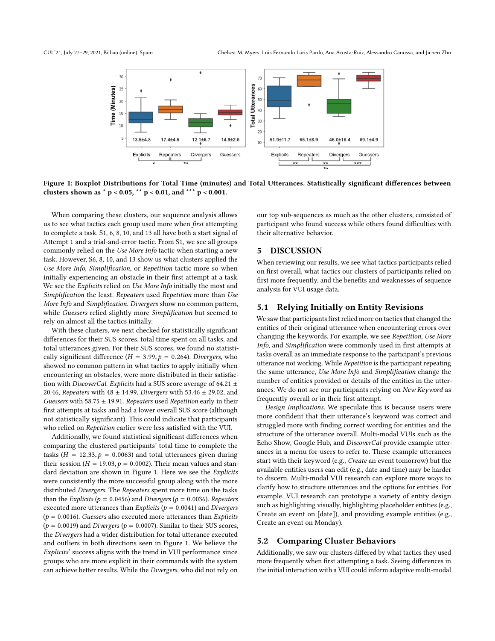<span id="page-5-0"></span>

Figure 1: Boxplot Distributions for Total Time (minutes) and Total Utterances. Statistically significant differences between clusters shown as  $*$  p < 0.05,  $*$  p < 0.01, and  $*$   $*$  p < 0.001.

When comparing these clusters, our sequence analysis allows us to see what tactics each group used more when first attempting to complete a task. S1, 6, 8, 10, and 13 all have both a start signal of Attempt 1 and a trial-and-error tactic. From S1, we see all groups commonly relied on the Use More Info tactic when starting a new task. However, S6, 8, 10, and 13 show us what clusters applied the Use More Info, Simplification, or Repetition tactic more so when initially experiencing an obstacle in their first attempt at a task. We see the *Explicits* relied on Use More Info initially the most and Simplification the least. Repeaters used Repetition more than Use More Info and Simplification. Divergers show no common pattern, while Guessers relied slightly more Simplification but seemed to rely on almost all the tactics initially.

With these clusters, we next checked for statistically significant differences for their SUS scores, total time spent on all tasks, and total utterances given. For their SUS scores, we found no statistically significant difference ( $H = 3.99$ ,  $p = 0.264$ ). Divergers, who showed no common pattern in what tactics to apply initially when encountering an obstacles, were more distributed in their satisfaction with DiscoverCal. Explicits had a SUS score average of 64.21  $\pm$ 20.46, Repeaters with  $48 \pm 14.99$ , Divergers with  $53.46 \pm 29.02$ , and Guessers with 58.75  $\pm$  19.91. Repeaters used Repetition early in their first attempts at tasks and had a lower overall SUS score (although not statistically significant). This could indicate that participants who relied on Repetition earlier were less satisfied with the VUI.

Additionally, we found statistical significant differences when comparing the clustered participants' total time to complete the tasks ( $H = 12.33, p = 0.0063$ ) and total utterances given during their session ( $H = 19.03$ ,  $p = 0.0002$ ). Their mean values and standard deviation are shown in Figure [1.](#page-5-0) Here we see the Explicits were consistently the more successful group along with the more distributed Divergers. The Repeaters spent more time on the tasks than the Explicits ( $p = 0.0456$ ) and Divergers ( $p = 0.0036$ ). Repeaters executed more utterances than Explicits ( $p = 0.0041$ ) and Divergers  $(p = 0.0016)$ . Guessers also executed more utterances than Explicits  $(p = 0.0019)$  and Divergers ( $p = 0.0007$ ). Similar to their SUS scores, the Divergers had a wider distribution for total utterance executed and outliers in both directions seen in Figure [1.](#page-5-0) We believe the Explicits' success aligns with the trend in VUI performance since groups who are more explicit in their commands with the system can achieve better results. While the Divergers, who did not rely on

our top sub-sequences as much as the other clusters, consisted of participant who found success while others found difficulties with their alternative behavior.

# 5 DISCUSSION

When reviewing our results, we see what tactics participants relied on first overall, what tactics our clusters of participants relied on first more frequently, and the benefits and weaknesses of sequence analysis for VUI usage data.

# 5.1 Relying Initially on Entity Revisions

We saw that participants first relied more on tactics that changed the entities of their original utterance when encountering errors over changing the keywords. For example, we see Repetition, Use More Info, and Simplification were commonly used in first attempts at tasks overall as an immediate response to the participant's previous utterance not working. While Repetition is the participant repeating the same utterance, Use More Info and Simplification change the number of entities provided or details of the entities in the utterances. We do not see our participants relying on New Keyword as frequently overall or in their first attempt.

Design Implications. We speculate this is because users were more confident that their utterance's keyword was correct and struggled more with finding correct wording for entities and the structure of the utterance overall. Multi-modal VUIs such as the Echo Show, Google Hub, and DiscoverCal provide example utterances in a menu for users to refer to. These example utterances start with their keyword (e.g., Create an event tomorrow) but the available entities users can edit (e.g., date and time) may be harder to discern. Multi-modal VUI research can explore more ways to clarify how to structure utterances and the options for entities. For example, VUI research can prototype a variety of entity design such as highlighting visually, highlighting placeholder entities (e.g., Create an event on [date]), and providing example entities (e.g., Create an event on Monday).

# 5.2 Comparing Cluster Behaviors

Additionally, we saw our clusters differed by what tactics they used more frequently when first attempting a task. Seeing differences in the initial interaction with a VUI could inform adaptive multi-modal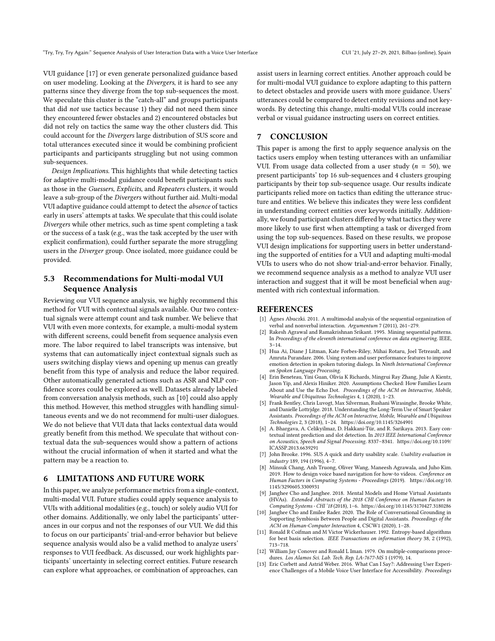VUI guidance [\[17\]](#page-7-9) or even generate personalized guidance based on user modeling. Looking at the Divergers, it is hard to see any patterns since they diverge from the top sub-sequences the most. We speculate this cluster is the "catch-all" and groups participants that did not use tactics because 1) they did not need them since they encountered fewer obstacles and 2) encountered obstacles but did not rely on tactics the same way the other clusters did. This could account for the Divergers large distribution of SUS score and total utterances executed since it would be combining proficient participants and participants struggling but not using common sub-sequences.

Design Implications. This highlights that while detecting tactics for adaptive multi-modal guidance could benefit participants such as those in the Guessers, Explicits, and Repeaters clusters, it would leave a sub-group of the Divergers without further aid. Multi-modal VUI adaptive guidance could attempt to detect the absence of tactics early in users' attempts at tasks. We speculate that this could isolate Divergers while other metrics, such as time spent completing a task or the success of a task (e.g., was the task accepted by the user with explicit confirmation), could further separate the more struggling users in the Diverger group. Once isolated, more guidance could be provided.

# 5.3 Recommendations for Multi-modal VUI Sequence Analysis

Reviewing our VUI sequence analysis, we highly recommend this method for VUI with contextual signals available. Our two contextual signals were attempt count and task number. We believe that VUI with even more contexts, for example, a multi-modal system with different screens, could benefit from sequence analysis even more. The labor required to label transcripts was intensive, but systems that can automatically inject contextual signals such as users switching display views and opening up menus can greatly benefit from this type of analysis and reduce the labor required. Other automatically generated actions such as ASR and NLP confidence scores could be explored as well. Datasets already labeled from conversation analysis methods, such as [\[10\]](#page-6-3) could also apply this method. However, this method struggles with handling simultaneous events and we do not recommend for multi-user dialogues. We do not believe that VUI data that lacks contextual data would greatly benefit from this method. We speculate that without contextual data the sub-sequences would show a pattern of actions without the crucial information of when it started and what the pattern may be a reaction to.

### 6 LIMITATIONS AND FUTURE WORK

In this paper, we analyze performance metrics from a single-context, multi-modal VUI. Future studies could apply sequence analysis to VUIs with additional modalities (e.g., touch) or solely audio VUI for other domains. Additionally, we only label the participants' utterances in our corpus and not the responses of our VUI. We did this to focus on our participants' trial-and-error behavior but believe sequence analysis would also be a valid method to analyze users' responses to VUI feedback. As discussed, our work highlights participants' uncertainty in selecting correct entities. Future research can explore what approaches, or combination of approaches, can

assist users in learning correct entities. Another approach could be for multi-modal VUI guidance to explore adapting to this pattern to detect obstacles and provide users with more guidance. Users' utterances could be compared to detect entity revisions and not keywords. By detecting this change, multi-modal VUIs could increase verbal or visual guidance instructing users on correct entities.

#### 7 CONCLUSION

This paper is among the first to apply sequence analysis on the tactics users employ when testing utterances with an unfamiliar VUI. From usage data collected from a user study ( $n = 50$ ), we present participants' top 16 sub-sequences and 4 clusters grouping participants by their top sub-sequence usage. Our results indicate participants relied more on tactics than editing the utterance structure and entities. We believe this indicates they were less confident in understanding correct entities over keywords initially. Additionally, we found participant clusters differed by what tactics they were more likely to use first when attempting a task or diverged from using the top sub-sequences. Based on these results, we propose VUI design implications for supporting users in better understanding the supported of entities for a VUI and adapting multi-modal VUIs to users who do not show trial-and-error behavior. Finally, we recommend sequence analysis as a method to analyze VUI user interaction and suggest that it will be most beneficial when augmented with rich contextual information.

#### **REFERENCES**

- <span id="page-6-8"></span>[1] Ágnes Abuczki. 2011. A multimodal analysis of the sequential organization of verbal and nonverbal interaction. Argumentum 7 (2011), 261–279.
- <span id="page-6-10"></span>Rakesh Agrawal and Ramakrishnan Srikant. 1995. Mining sequential patterns. In Proceedings of the eleventh international conference on data engineering. IEEE, 3–14.
- <span id="page-6-7"></span>[3] Hua Ai, Diane J Litman, Kate Forbes-Riley, Mihai Rotaru, Joel Tetreault, and Amruta Purandare. 2006. Using system and user performance features to improve emotion detection in spoken tutoring dialogs. In Ninth International Conference on Spoken Language Processing.
- <span id="page-6-0"></span>[4] Erin Beneteau, Yini Guan, Olivia K Richards, Mingrui Ray Zhang, Julie A Kientz, Jason Yip, and Alexis Hiniker. 2020. Assumptions Checked: How Families Learn About and Use the Echo Dot. Proceedings of the ACM on Interactive, Mobile, Wearable and Ubiquitous Technologies 4, 1 (2020), 1–23.
- <span id="page-6-1"></span>[5] Frank Bentley, Chris Luvogt, Max Silverman, Rushani Wirasinghe, Brooke White, and Danielle Lottrjdge. 2018. Understanding the Long-Term Use of Smart Speaker Assistants. Proceedings of the ACM on Interactive, Mobile, Wearable and Ubiquitous Technologies 2, 3 (2018), 1–24.<https://doi.org/10.1145/3264901>
- <span id="page-6-6"></span>[6] A. Bhargava, A. Celikyilmaz, D. Hakkani-Tür, and R. Sarikaya. 2013. Easy contextual intent prediction and slot detection. In 2013 IEEE International Conference on Acoustics, Speech and Signal Processing. 8337–8341. [https://doi.org/10.1109/](https://doi.org/10.1109/ICASSP.2013.6639291) [ICASSP.2013.6639291](https://doi.org/10.1109/ICASSP.2013.6639291)
- <span id="page-6-9"></span>[7] John Brooke. 1996. SUS A quick and dirty usability scale. Usability evaluation in industry 189, 194 (1996), 4–7.
- <span id="page-6-2"></span>[8] Minsuk Chang, Anh Truong, Oliver Wang, Maneesh Agrawala, and Juho Kim. 2019. How to design voice based navigation for how-to videos. Conference on Human Factors in Computing Systems - Proceedings (2019). [https://doi.org/10.](https://doi.org/10.1145/3290605.3300931) [1145/3290605.3300931](https://doi.org/10.1145/3290605.3300931)
- <span id="page-6-5"></span>[9] Janghee Cho and Janghee. 2018. Mental Models and Home Virtual Assistants (HVAs). Extended Abstracts of the 2018 CHI Conference on Human Factors in Computing Systems - CHI '18 (2018), 1–6.<https://doi.org/10.1145/3170427.3180286>
- <span id="page-6-3"></span>[10] Janghee Cho and Emilee Rader. 2020. The Role of Conversational Grounding in Supporting Symbiosis Between People and Digital Assistants. Proceedings of the ACM on Human-Computer Interaction 4, CSCW1 (2020), 1–28.
- <span id="page-6-11"></span>[11] Ronald R Coifman and M Victor Wickerhauser. 1992. Entropy-based algorithms for best basis selection. IEEE Transactions on information theory 38, 2 (1992), 713–718.
- <span id="page-6-12"></span>[12] William Jay Conover and Ronald L Iman. 1979. On multiple-comparisons procedures. Los Alamos Sci. Lab. Tech. Rep. LA-7677-MS 1 (1979), 14.
- <span id="page-6-4"></span>[13] Eric Corbett and Astrid Weber. 2016. What Can I Say?: Addressing User Experience Challenges of a Mobile Voice User Interface for Accessibility. Proceedings